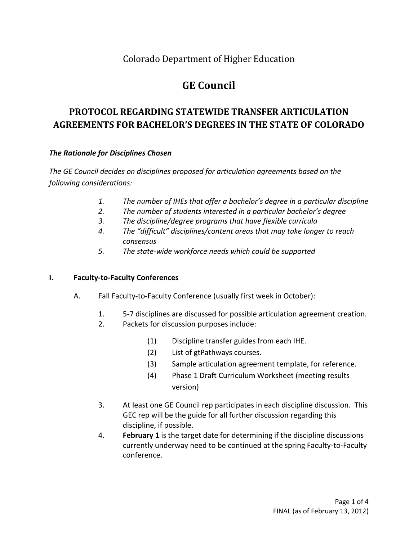### Colorado Department of Higher Education

# **GE Council**

## **PROTOCOL REGARDING STATEWIDE TRANSFER ARTICULATION AGREEMENTS FOR BACHELOR'S DEGREES IN THE STATE OF COLORADO**

### *The Rationale for Disciplines Chosen*

*The GE Council decides on disciplines proposed for articulation agreements based on the following considerations:*

- *1. The number of IHEs that offer a bachelor's degree in a particular discipline*
- *2. The number of students interested in a particular bachelor's degree*
- *3. The discipline/degree programs that have flexible curricula*
- *4. The "difficult" disciplines/content areas that may take longer to reach consensus*
- *5. The state-wide workforce needs which could be supported*

### **I. Faculty-to-Faculty Conferences**

- A. Fall Faculty-to-Faculty Conference (usually first week in October):
	- 1. 5-7 disciplines are discussed for possible articulation agreement creation.
	- 2. Packets for discussion purposes include:
		- (1) Discipline transfer guides from each IHE.
		- (2) List of gtPathways courses.
		- (3) Sample articulation agreement template, for reference.
		- (4) Phase 1 Draft Curriculum Worksheet (meeting results version)
	- 3. At least one GE Council rep participates in each discipline discussion. This GEC rep will be the guide for all further discussion regarding this discipline, if possible.
	- 4. **February 1** is the target date for determining if the discipline discussions currently underway need to be continued at the spring Faculty-to-Faculty conference.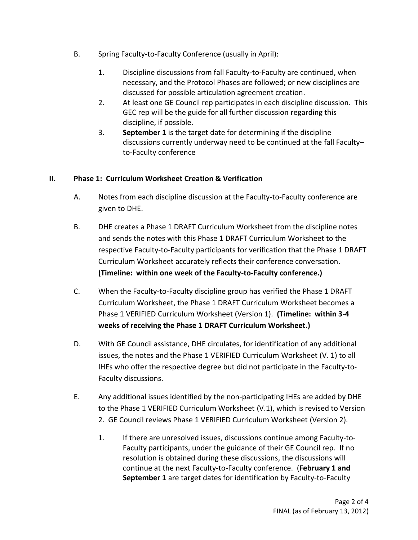- B. Spring Faculty-to-Faculty Conference (usually in April):
	- 1. Discipline discussions from fall Faculty-to-Faculty are continued, when necessary, and the Protocol Phases are followed; or new disciplines are discussed for possible articulation agreement creation.
	- 2. At least one GE Council rep participates in each discipline discussion. This GEC rep will be the guide for all further discussion regarding this discipline, if possible.
	- 3. **September 1** is the target date for determining if the discipline discussions currently underway need to be continued at the fall Faculty– to-Faculty conference

### **II. Phase 1: Curriculum Worksheet Creation & Verification**

- A. Notes from each discipline discussion at the Faculty-to-Faculty conference are given to DHE.
- B. DHE creates a Phase 1 DRAFT Curriculum Worksheet from the discipline notes and sends the notes with this Phase 1 DRAFT Curriculum Worksheet to the respective Faculty-to-Faculty participants for verification that the Phase 1 DRAFT Curriculum Worksheet accurately reflects their conference conversation. **(Timeline: within one week of the Faculty-to-Faculty conference.)**
- C. When the Faculty-to-Faculty discipline group has verified the Phase 1 DRAFT Curriculum Worksheet, the Phase 1 DRAFT Curriculum Worksheet becomes a Phase 1 VERIFIED Curriculum Worksheet (Version 1). **(Timeline: within 3-4 weeks of receiving the Phase 1 DRAFT Curriculum Worksheet.)**
- D. With GE Council assistance, DHE circulates, for identification of any additional issues, the notes and the Phase 1 VERIFIED Curriculum Worksheet (V. 1) to all IHEs who offer the respective degree but did not participate in the Faculty-to-Faculty discussions.
- E. Any additional issues identified by the non-participating IHEs are added by DHE to the Phase 1 VERIFIED Curriculum Worksheet (V.1), which is revised to Version 2. GE Council reviews Phase 1 VERIFIED Curriculum Worksheet (Version 2).
	- 1. If there are unresolved issues, discussions continue among Faculty-to-Faculty participants, under the guidance of their GE Council rep. If no resolution is obtained during these discussions, the discussions will continue at the next Faculty-to-Faculty conference. (**February 1 and September 1** are target dates for identification by Faculty-to-Faculty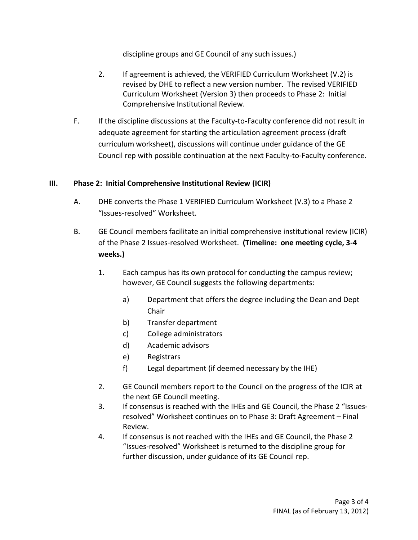discipline groups and GE Council of any such issues.)

- 2. If agreement is achieved, the VERIFIED Curriculum Worksheet (V.2) is revised by DHE to reflect a new version number. The revised VERIFIED Curriculum Worksheet (Version 3) then proceeds to Phase 2: Initial Comprehensive Institutional Review.
- F. If the discipline discussions at the Faculty-to-Faculty conference did not result in adequate agreement for starting the articulation agreement process (draft curriculum worksheet), discussions will continue under guidance of the GE Council rep with possible continuation at the next Faculty-to-Faculty conference.

#### **III. Phase 2: Initial Comprehensive Institutional Review (ICIR)**

- A. DHE converts the Phase 1 VERIFIED Curriculum Worksheet (V.3) to a Phase 2 "Issues-resolved" Worksheet.
- B. GE Council members facilitate an initial comprehensive institutional review (ICIR) of the Phase 2 Issues-resolved Worksheet. **(Timeline: one meeting cycle, 3-4 weeks.)**
	- 1. Each campus has its own protocol for conducting the campus review; however, GE Council suggests the following departments:
		- a) Department that offers the degree including the Dean and Dept Chair
		- b) Transfer department
		- c) College administrators
		- d) Academic advisors
		- e) Registrars
		- f) Legal department (if deemed necessary by the IHE)
	- 2. GE Council members report to the Council on the progress of the ICIR at the next GE Council meeting.
	- 3. If consensus is reached with the IHEs and GE Council, the Phase 2 "Issuesresolved" Worksheet continues on to Phase 3: Draft Agreement – Final Review.
	- 4. If consensus is not reached with the IHEs and GE Council, the Phase 2 "Issues-resolved" Worksheet is returned to the discipline group for further discussion, under guidance of its GE Council rep.